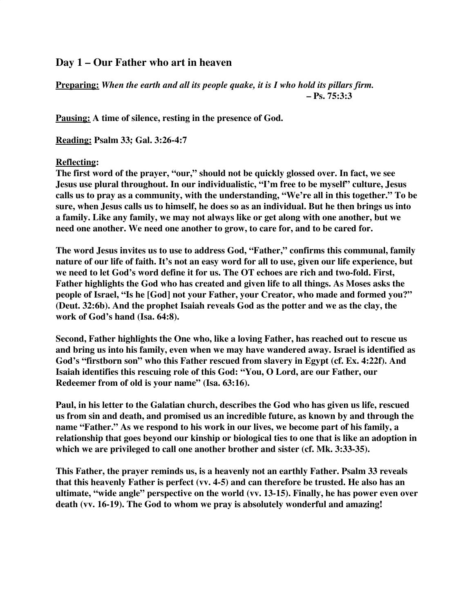## **Day 1 – Our Father who art in heaven**

**Preparing:** *When the earth and all its people quake, it is I who hold its pillars firm.* **– Ps. 75:3:3**

**Pausing: A time of silence, resting in the presence of God.**

**Reading: Psalm 33; Gal. 3:26-4:7**

## **Reflecting:**

**The first word of the prayer, "our," should not be quickly glossed over. In fact, we see Jesus use plural throughout. In our individualistic, "I'm free to be myself" culture, Jesus calls us to pray as a community, with the understanding, "We're all in this together." To be sure, when Jesus calls us to himself, he does so as an individual. But he then brings us into a family. Like any family, we may not always like or get along with one another, but we need one another. We need one another to grow, to care for, and to be cared for.**

**The word Jesus invites us to use to address God, "Father," confirms this communal, family nature of our life of faith. It's not an easy word for all to use, given our life experience, but we need to let God's word define it for us. The OT echoes are rich and two-fold. First, Father highlights the God who has created and given life to all things. As Moses asks the people of Israel, "Is he [God] not your Father, your Creator, who made and formed you?" (Deut. 32:6b). And the prophet Isaiah reveals God as the potter and we as the clay, the work of God's hand (Isa. 64:8).**

**Second, Father highlights the One who, like a loving Father, has reached out to rescue us and bring us into his family, even when we may have wandered away. Israel is identified as God's "firstborn son" who this Father rescued from slavery in Egypt (cf. Ex. 4:22f). And Isaiah identifies this rescuing role of this God: "You, O Lord, are our Father, our Redeemer from of old is your name" (Isa. 63:16).**

**Paul, in his letter to the Galatian church, describes the God who has given us life, rescued us from sin and death, and promised us an incredible future, as known by and through the name "Father." As we respond to his work in our lives, we become part of his family, a relationship that goes beyond our kinship or biological ties to one that is like an adoption in which we are privileged to call one another brother and sister (cf. Mk. 3:33-35).**

**This Father, the prayer reminds us, is a heavenly not an earthly Father. Psalm 33 reveals that this heavenly Father is perfect (vv. 4-5) and can therefore be trusted. He also has an ultimate, "wide angle" perspective on the world (vv. 13-15). Finally, he has power even over death (vv. 16-19). The God to whom we pray is absolutely wonderful and amazing!**